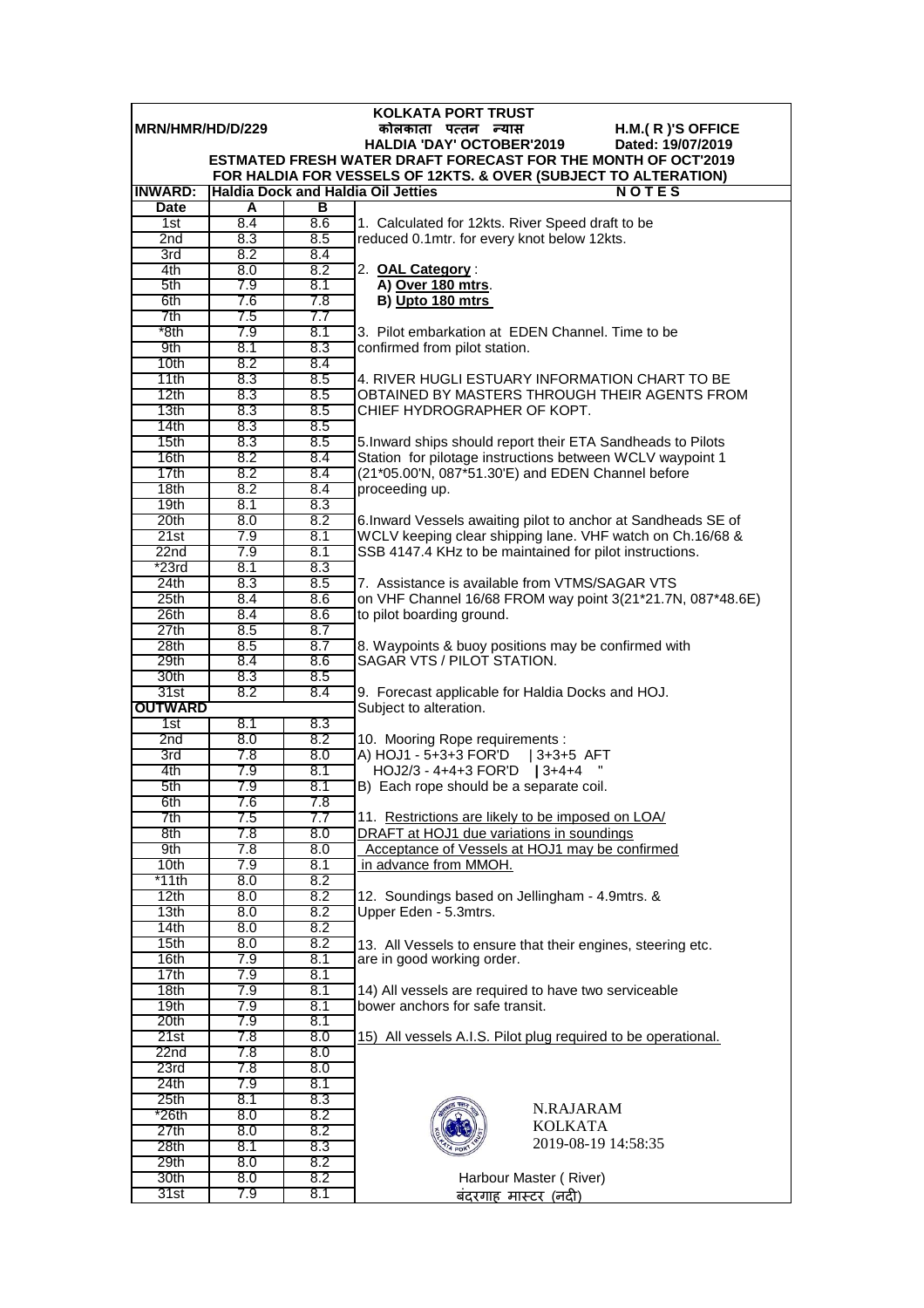|                                                             | <b>KOLKATA PORT TRUST</b> |            |                                                                                                                               |  |  |  |  |
|-------------------------------------------------------------|---------------------------|------------|-------------------------------------------------------------------------------------------------------------------------------|--|--|--|--|
| MRN/HMR/HD/D/229<br>H.M.(R)'S OFFICE<br>कोलकाता पत्तन न्यास |                           |            |                                                                                                                               |  |  |  |  |
|                                                             |                           |            | <b>HALDIA 'DAY' OCTOBER'2019</b><br>Dated: 19/07/2019<br><b>ESTMATED FRESH WATER DRAFT FORECAST FOR THE MONTH OF OCT'2019</b> |  |  |  |  |
|                                                             |                           |            | FOR HALDIA FOR VESSELS OF 12KTS. & OVER (SUBJECT TO ALTERATION)                                                               |  |  |  |  |
| <b>INWARD:</b>                                              |                           |            | <b>Haldia Dock and Haldia Oil Jetties</b><br><b>NOTES</b>                                                                     |  |  |  |  |
| <b>Date</b>                                                 | A                         | в          |                                                                                                                               |  |  |  |  |
| 1st                                                         | 8.4                       | 8.6        | 1. Calculated for 12kts. River Speed draft to be                                                                              |  |  |  |  |
| 2 <sub>nd</sub>                                             | 8.3                       | 8.5        | reduced 0.1mtr. for every knot below 12kts.                                                                                   |  |  |  |  |
| 3rd                                                         | 8.2                       | 8.4        |                                                                                                                               |  |  |  |  |
| 4th                                                         | 8.0                       | 8.2        | 2. OAL Category:                                                                                                              |  |  |  |  |
| 5th<br>6th                                                  | 7.9<br>7.6                | 8.1<br>7.8 | A) Over 180 mtrs.                                                                                                             |  |  |  |  |
| 7th                                                         | 7.5                       | 7.7        | B) Upto 180 mtrs                                                                                                              |  |  |  |  |
| *8th                                                        | 7.9                       | 8.1        | 3. Pilot embarkation at EDEN Channel. Time to be                                                                              |  |  |  |  |
| 9th                                                         | 8.1                       | 8.3        | confirmed from pilot station.                                                                                                 |  |  |  |  |
| 10 <sub>th</sub>                                            | 8.2                       | 8.4        |                                                                                                                               |  |  |  |  |
| 11th                                                        | 8.3                       | 8.5        | 4. RIVER HUGLI ESTUARY INFORMATION CHART TO BE                                                                                |  |  |  |  |
| 12th                                                        | 8.3                       | 8.5        | OBTAINED BY MASTERS THROUGH THEIR AGENTS FROM                                                                                 |  |  |  |  |
| 13th                                                        | 8.3                       | 8.5        | CHIEF HYDROGRAPHER OF KOPT.                                                                                                   |  |  |  |  |
| 14th                                                        | 8.3                       | 8.5        |                                                                                                                               |  |  |  |  |
| 15th<br>16th                                                | 8.3<br>8.2                | 8.5<br>8.4 | 5. Inward ships should report their ETA Sandheads to Pilots<br>Station for pilotage instructions between WCLV waypoint 1      |  |  |  |  |
| 17th                                                        | 8.2                       | 8.4        | (21*05.00'N, 087*51.30'E) and EDEN Channel before                                                                             |  |  |  |  |
| 18th                                                        | 8.2                       | 8.4        | proceeding up.                                                                                                                |  |  |  |  |
| 19 <sub>th</sub>                                            | 8.1                       | 8.3        |                                                                                                                               |  |  |  |  |
| 20th                                                        | 8.0                       | 8.2        | 6. Inward Vessels awaiting pilot to anchor at Sandheads SE of                                                                 |  |  |  |  |
| 21st                                                        | 7.9                       | 8.1        | WCLV keeping clear shipping lane. VHF watch on Ch.16/68 &                                                                     |  |  |  |  |
| 22n <sub>d</sub>                                            | 7.9                       | 8.1        | SSB 4147.4 KHz to be maintained for pilot instructions.                                                                       |  |  |  |  |
| $*23rd$                                                     | 8.1                       | 8.3        |                                                                                                                               |  |  |  |  |
| 24th<br>25th                                                | 8.3<br>8.4                | 8.5<br>8.6 | 7. Assistance is available from VTMS/SAGAR VTS<br>on VHF Channel 16/68 FROM way point 3(21*21.7N, 087*48.6E)                  |  |  |  |  |
| 26th                                                        | 8.4                       | 8.6        | to pilot boarding ground.                                                                                                     |  |  |  |  |
| 27th                                                        | 8.5                       | 8.7        |                                                                                                                               |  |  |  |  |
| 28th                                                        | 8.5                       | 8.7        | 8. Waypoints & buoy positions may be confirmed with                                                                           |  |  |  |  |
| 29th                                                        | 8.4                       | 8.6        | SAGAR VTS / PILOT STATION.                                                                                                    |  |  |  |  |
| 30th                                                        | 8.3                       | 8.5        |                                                                                                                               |  |  |  |  |
| 31st                                                        | 8.2                       | 8.4        | 9. Forecast applicable for Haldia Docks and HOJ.                                                                              |  |  |  |  |
| <b>OUTWARD</b>                                              |                           |            | Subject to alteration.                                                                                                        |  |  |  |  |
| 1st<br>2nd                                                  | 8.1<br>8.0                | 8.3<br>8.2 | 10. Mooring Rope requirements :                                                                                               |  |  |  |  |
| 3rd                                                         | 7.8                       | 8.0        | A) HOJ1 - 5+3+3 FOR'D<br>$13+3+5$ AFT                                                                                         |  |  |  |  |
| 4th                                                         | 7.9                       | 8.1        | HOJ2/3 - 4+4+3 FOR'D   3+4+4                                                                                                  |  |  |  |  |
| 5th                                                         | 7.9                       | 8.1        | B) Each rope should be a separate coil.                                                                                       |  |  |  |  |
| 6th                                                         | 7.6                       | 7.8        |                                                                                                                               |  |  |  |  |
| 7th                                                         | 7.5                       | 7.7        | 11. Restrictions are likely to be imposed on LOA/                                                                             |  |  |  |  |
| 8th                                                         | 7.8                       | 8.0        | DRAFT at HOJ1 due variations in soundings                                                                                     |  |  |  |  |
| 9th                                                         | 7.8                       | 8.0        | Acceptance of Vessels at HOJ1 may be confirmed<br>in advance from MMOH.                                                       |  |  |  |  |
| 10th<br>*11th                                               | 7.9<br>8.0                | 8.1<br>8.2 |                                                                                                                               |  |  |  |  |
| 12th                                                        | 8.0                       | 8.2        | 12. Soundings based on Jellingham - 4.9mtrs. &                                                                                |  |  |  |  |
| 13 <sub>th</sub>                                            | 8.0                       | 8.2        | Upper Eden - 5.3mtrs.                                                                                                         |  |  |  |  |
| 14th                                                        | 8.0                       | 8.2        |                                                                                                                               |  |  |  |  |
| 15th                                                        | 8.0                       | 8.2        | 13. All Vessels to ensure that their engines, steering etc.                                                                   |  |  |  |  |
| 16th                                                        | 7.9                       | 8.1        | are in good working order.                                                                                                    |  |  |  |  |
| 17th                                                        | 7.9                       | 8.1        |                                                                                                                               |  |  |  |  |
| 18th<br>19th                                                | 7.9<br>7.9                | 8.1<br>8.1 | 14) All vessels are required to have two serviceable<br>bower anchors for safe transit.                                       |  |  |  |  |
| 20th                                                        | 7.9                       | 8.1        |                                                                                                                               |  |  |  |  |
| 21st                                                        | 7.8                       | 8.0        | 15) All vessels A.I.S. Pilot plug required to be operational.                                                                 |  |  |  |  |
| 22nd                                                        | 7.8                       | 8.0        |                                                                                                                               |  |  |  |  |
| 23rd                                                        | 7.8                       | 8.0        |                                                                                                                               |  |  |  |  |
| 24th                                                        | 7.9                       | 8.1        |                                                                                                                               |  |  |  |  |
| 25 <sub>th</sub>                                            | 8.1                       | 8.3        | N.RAJARAM                                                                                                                     |  |  |  |  |
| $*26th$                                                     | 8.0                       | 8.2        | <b>KOLKATA</b>                                                                                                                |  |  |  |  |
| 27th<br>28th                                                | 8.0<br>8.1                | 8.2<br>8.3 | 2019-08-19 14:58:35                                                                                                           |  |  |  |  |
| 29th                                                        | 8.0                       | 8.2        |                                                                                                                               |  |  |  |  |
| 30th                                                        | 8.0                       | 8.2        | Harbour Master (River)                                                                                                        |  |  |  |  |
| 31st                                                        | 7.9                       | 8.1        | बंदरगाह मास्टर (नदी)                                                                                                          |  |  |  |  |
|                                                             |                           |            |                                                                                                                               |  |  |  |  |